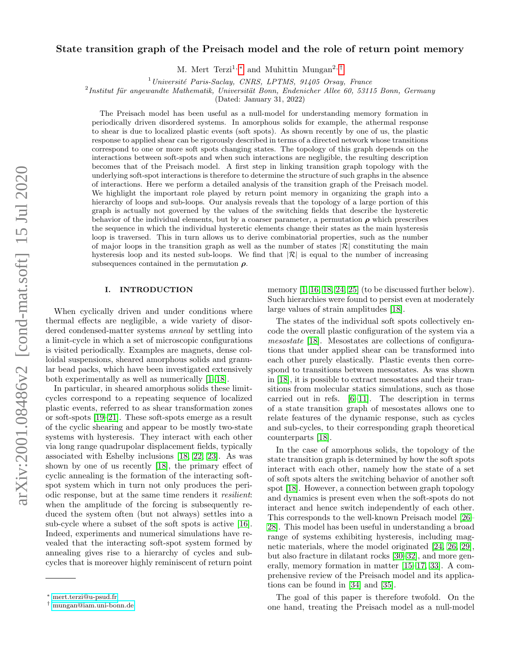# arXiv:2001.08486v2 [cond-mat.soft] 15 Jul 2020 arXiv:2001.08486v2 [cond-mat.soft] 15 Jul 2020

# State transition graph of the Preisach model and the role of return point memory

M. Mert Terzi<sup>1,\*</sup> and Muhittin Mungan<sup>2,[†](#page-0-1)</sup>

 $1$ Université Paris-Saclay, CNRS, LPTMS, 91405 Orsay, France

 $^{2}$ Institut für angewandte Mathematik, Universität Bonn, Endenicher Allee 60, 53115 Bonn, Germany

(Dated: January 31, 2022)

The Preisach model has been useful as a null-model for understanding memory formation in periodically driven disordered systems. In amorphous solids for example, the athermal response to shear is due to localized plastic events (soft spots). As shown recently by one of us, the plastic response to applied shear can be rigorously described in terms of a directed network whose transitions correspond to one or more soft spots changing states. The topology of this graph depends on the interactions between soft-spots and when such interactions are negligible, the resulting description becomes that of the Preisach model. A first step in linking transition graph topology with the underlying soft-spot interactions is therefore to determine the structure of such graphs in the absence of interactions. Here we perform a detailed analysis of the transition graph of the Preisach model. We highlight the important role played by return point memory in organizing the graph into a hierarchy of loops and sub-loops. Our analysis reveals that the topology of a large portion of this graph is actually not governed by the values of the switching fields that describe the hysteretic behavior of the individual elements, but by a coarser parameter, a permutation  $\rho$  which prescribes the sequence in which the individual hysteretic elements change their states as the main hysteresis loop is traversed. This in turn allows us to derive combinatorial properties, such as the number of major loops in the transition graph as well as the number of states  $|\mathcal{R}|$  constituting the main hysteresis loop and its nested sub-loops. We find that  $|\mathcal{R}|$  is equal to the number of increasing subsequences contained in the permutation  $\rho$ .

#### I. INTRODUCTION

When cyclically driven and under conditions where thermal effects are negligible, a wide variety of disordered condensed-matter systems anneal by settling into a limit-cycle in which a set of microscopic configurations is visited periodically. Examples are magnets, dense colloidal suspensions, sheared amorphous solids and granular bead packs, which have been investigated extensively both experimentally as well as numerically [\[1–](#page-12-0)[18\]](#page-12-1).

In particular, in sheared amorphous solids these limitcycles correspond to a repeating sequence of localized plastic events, referred to as shear transformation zones or soft-spots [\[19](#page-12-2)[–21\]](#page-12-3). These soft-spots emerge as a result of the cyclic shearing and appear to be mostly two-state systems with hysteresis. They interact with each other via long range quadrupolar displacement fields, typically associated with Eshelby inclusions [\[18,](#page-12-1) [22,](#page-12-4) [23\]](#page-12-5). As was shown by one of us recently [\[18\]](#page-12-1), the primary effect of cyclic annealing is the formation of the interacting softspot system which in turn not only produces the periodic response, but at the same time renders it resilient: when the amplitude of the forcing is subsequently reduced the system often (but not always) settles into a sub-cycle where a subset of the soft spots is active [\[16\]](#page-12-6). Indeed, experiments and numerical simulations have revealed that the interacting soft-spot system formed by annealing gives rise to a hierarchy of cycles and subcycles that is moreover highly reminiscent of return point

memory  $[1, 16, 18, 24, 25]$  $[1, 16, 18, 24, 25]$  $[1, 16, 18, 24, 25]$  $[1, 16, 18, 24, 25]$  $[1, 16, 18, 24, 25]$  (to be discussed further below). Such hierarchies were found to persist even at moderately large values of strain amplitudes [\[18\]](#page-12-1).

The states of the individual soft spots collectively encode the overall plastic configuration of the system via a mesostate [\[18\]](#page-12-1). Mesostates are collections of configurations that under applied shear can be transformed into each other purely elastically. Plastic events then correspond to transitions between mesostates. As was shown in [\[18\]](#page-12-1), it is possible to extract mesostates and their transitions from molecular statics simulations, such as those carried out in refs. [\[6–](#page-12-9)[11\]](#page-12-10). The description in terms of a state transition graph of mesostates allows one to relate features of the dynamic response, such as cycles and sub-cycles, to their corresponding graph theoretical counterparts [\[18\]](#page-12-1).

In the case of amorphous solids, the topology of the state transition graph is determined by how the soft spots interact with each other, namely how the state of a set of soft spots alters the switching behavior of another soft spot [\[18\]](#page-12-1). However, a connection between graph topology and dynamics is present even when the soft-spots do not interact and hence switch independently of each other. This corresponds to the well-known Preisach model [\[26–](#page-12-11) [28\]](#page-12-12). This model has been useful in understanding a broad range of systems exhibiting hysteresis, including magnetic materials, where the model originated [\[24,](#page-12-7) [26,](#page-12-11) [29\]](#page-12-13), but also fracture in dilatant rocks [\[30–](#page-12-14)[32\]](#page-13-0), and more generally, memory formation in matter [\[15](#page-12-15)[–17,](#page-12-16) [33\]](#page-13-1). A comprehensive review of the Preisach model and its applications can be found in [\[34\]](#page-13-2) and [\[35\]](#page-13-3).

The goal of this paper is therefore twofold. On the one hand, treating the Preisach model as a null-model

<span id="page-0-0"></span><sup>∗</sup> [mert.terzi@u-psud.fr](mailto:mert.terzi@u-psud.fr)

<span id="page-0-1"></span><sup>†</sup> [mungan@iam.uni-bonn.de](mailto:mungan@iam.uni-bonn.de)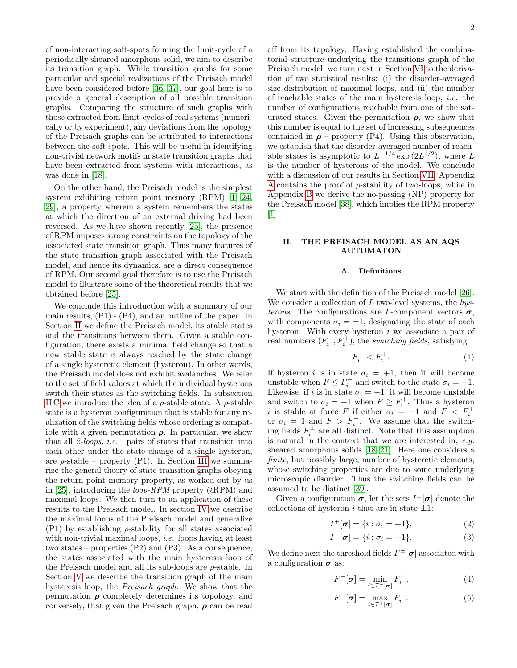of non-interacting soft-spots forming the limit-cycle of a periodically sheared amorphous solid, we aim to describe its transition graph. While transition graphs for some particular and special realizations of the Preisach model have been considered before [\[36,](#page-13-4) [37\]](#page-13-5), our goal here is to provide a general description of all possible transition graphs. Comparing the structure of such graphs with those extracted from limit-cycles of real systems (numerically or by experiment), any deviations from the topology of the Preisach graphs can be attributed to interactions between the soft-spots. This will be useful in identifying non-trivial network motifs in state transition graphs that have been extracted from systems with interactions, as was done in [\[18\]](#page-12-1).

On the other hand, the Preisach model is the simplest system exhibiting return point memory (RPM) [\[1,](#page-12-0) [24,](#page-12-7) [29\]](#page-12-13), a property wherein a system remembers the states at which the direction of an external driving had been reversed. As we have shown recently [\[25\]](#page-12-8), the presence of RPM imposes strong constraints on the topology of the associated state transition graph. Thus many features of the state transition graph associated with the Preisach model, and hence its dynamics, are a direct consequence of RPM. Our second goal therefore is to use the Preisach model to illustrate some of the theoretical results that we obtained before [\[25\]](#page-12-8).

We conclude this introduction with a summary of our main results, (P1) - (P4), and an outline of the paper. In Section [II](#page-1-0) we define the Preisach model, its stable states and the transitions between them. Given a stable configuration, there exists a minimal field change so that a new stable state is always reached by the state change of a single hysteretic element (hysteron). In other words, the Preisach model does not exhibit avalanches. We refer to the set of field values at which the individual hysterons switch their states as the switching fields. In subsection [II C](#page-2-0) we introduce the idea of a  $\rho$ -stable state. A  $\rho$ -stable state is a hysteron configuration that is stable for any realization of the switching fields whose ordering is compatible with a given permutation  $\rho$ . In particular, we show that all  $2\text{-}loops$ , *i.e.* pairs of states that transition into each other under the state change of a single hysteron, are  $\rho$ -stable – property (P1). In Section [III](#page-4-0) we summarize the general theory of state transition graphs obeying the return point memory property, as worked out by us in [\[25\]](#page-12-8), introducing the *loop-RPM* property  $(\ell$ RPM) and maximal loops. We then turn to an application of these results to the Preisach model. In section [IV](#page-6-0) we describe the maximal loops of the Preisach model and generalize  $(P1)$  by establishing  $\rho$ -stability for all states associated with non-trivial maximal loops, *i.e.* loops having at least two states – properties (P2) and (P3). As a consequence, the states associated with the main hysteresis loop of the Preisach model and all its sub-loops are  $\rho$ -stable. In Section [V](#page-7-0) we describe the transition graph of the main hysteresis loop, the Preisach graph. We show that the permutation  $\rho$  completely determines its topology, and conversely, that given the Preisach graph,  $\rho$  can be read off from its topology. Having established the combinatorial structure underlying the transitions graph of the Preisach model, we turn next in Section [VI](#page-9-0) to the derivation of two statistical results: (i) the disorder-averaged size distribution of maximal loops, and (ii) the number of reachable states of the main hysteresis loop, i.e. the number of configurations reachable from one of the saturated states. Given the permutation  $\rho$ , we show that this number is equal to the set of increasing subsequences contained in  $\rho$  – property (P4). Using this observation, we establish that the disorder-averaged number of reachable states is asymptotic to  $L^{-1/4} \exp(2L^{1/2})$ , where L is the number of hysterons of the model. We conclude with a discussion of our results in Section [VII.](#page-11-0) Appendix [A](#page-13-6) contains the proof of  $\rho$ -stability of two-loops, while in Appendix [B](#page-14-0) we derive the no-passing (NP) property for the Preisach model [\[38\]](#page-13-7), which implies the RPM property [\[1\]](#page-12-0).

# <span id="page-1-0"></span>II. THE PREISACH MODEL AS AN AQS AUTOMATON

#### A. Definitions

We start with the definition of the Preisach model [\[26\]](#page-12-11). We consider a collection of  $L$  two-level systems, the  $hys$ terons. The configurations are L-component vectors  $\sigma$ , with components  $\sigma_i = \pm 1$ , designating the state of each hysteron. With every hysteron i we associate a pair of real numbers  $(F_i^-, F_i^+)$ , the *switching fields*, satisfying

<span id="page-1-3"></span>
$$
F_i^- < F_i^+.\tag{1}
$$

If hysteron *i* is in state  $\sigma_i = +1$ , then it will become unstable when  $F \leq F_i^-$  and switch to the state  $\sigma_i = -1$ . Likewise, if i is in state  $\sigma_i = -1$ , it will become unstable and switch to  $\sigma_i = +1$  when  $F \geq F_i^+$ . Thus a hysteron i is stable at force F if either  $\sigma_i = -1$  and  $F < F_i^+$ or  $\sigma_i = 1$  and  $F > F_i^-$ . We assume that the switching fields  $F_i^{\pm}$  are all distinct. Note that this assumption is natural in the context that we are interested in, e.g. sheared amorphous solids [\[18](#page-12-1)[–21\]](#page-12-3). Here one considers a finite, but possibly large, number of hysteretic elements, whose switching properties are due to some underlying microscopic disorder. Thus the switching fields can be assumed to be distinct [\[39\]](#page-13-8).

Given a configuration  $\sigma$ , let the sets  $I^{\pm}[\sigma]$  denote the collections of hysteron i that are in state  $\pm 1$ :

<span id="page-1-4"></span>
$$
I^+[\boldsymbol{\sigma}] = \{i : \sigma_i = +1\},\tag{2}
$$

<span id="page-1-5"></span>
$$
I^{-}[\boldsymbol{\sigma}] = \{i : \sigma_i = -1\}.
$$
 (3)

We define next the threshold fields  $F^{\pm}[\sigma]$  associated with a configuration  $\sigma$  as:

<span id="page-1-1"></span>
$$
F^{+}[\boldsymbol{\sigma}] = \min_{i \in \mathcal{I}^{-}[\boldsymbol{\sigma}]} F_{i}^{+}, \tag{4}
$$

<span id="page-1-2"></span>
$$
F^{-}[\boldsymbol{\sigma}] = \max_{i \in \mathcal{I}^{+}[\boldsymbol{\sigma}]} F_{i}^{-}.
$$
 (5)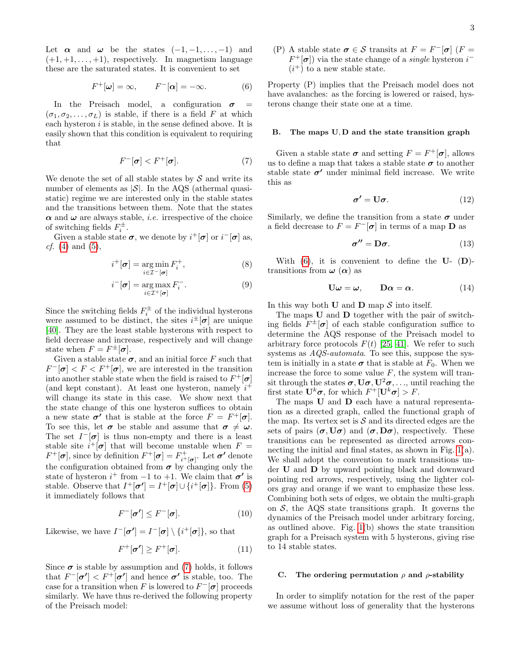Let  $\alpha$  and  $\omega$  be the states  $(-1, -1, \ldots, -1)$  and  $(+1, +1, \ldots, +1)$ , respectively. In magnetism language these are the saturated states. It is convenient to set

<span id="page-2-2"></span>
$$
F^+[\omega] = \infty, \qquad F^-[\alpha] = -\infty. \tag{6}
$$

In the Preisach model, a configuration  $\sigma$  =  $(\sigma_1, \sigma_2, \ldots, \sigma_L)$  is stable, if there is a field F at which each hysteron  $i$  is stable, in the sense defined above. It is easily shown that this condition is equivalent to requiring that

<span id="page-2-1"></span>
$$
F^{-}[\sigma] < F^{+}[\sigma].\tag{7}
$$

We denote the set of all stable states by  $S$  and write its number of elements as  $|\mathcal{S}|$ . In the AQS (athermal quasistatic) regime we are interested only in the stable states and the transitions between them. Note that the states  $\alpha$  and  $\omega$  are always stable, *i.e.* irrespective of the choice of switching fields  $F_i^{\pm}$ .

Given a stable state  $\sigma$ , we denote by  $i^+[\sigma]$  or  $i^-[\sigma]$  as, *cf.* [\(4\)](#page-1-1) and [\(5\)](#page-1-2),

$$
i^+[\boldsymbol{\sigma}] = \underset{i \in \mathcal{I}^-[\boldsymbol{\sigma}]}{\arg \min} F_i^+, \tag{8}
$$

$$
i^{-}[\boldsymbol{\sigma}] = \underset{i \in \mathcal{I}^{+}[\boldsymbol{\sigma}]}{\arg \max} F_{i}^{-}.
$$
 (9)

Since the switching fields  $F_i^{\pm}$  of the individual hysterons were assumed to be distinct, the sites  $i^{\pm}[\sigma]$  are unique [\[40\]](#page-13-9). They are the least stable hysterons with respect to field decrease and increase, respectively and will change state when  $F = F^{\pm}[\sigma]$ .

Given a stable state  $\sigma$ , and an initial force F such that  $F^{-}[\sigma] < F < F^{+}[\sigma]$ , we are interested in the transition into another stable state when the field is raised to  $F^+[\sigma]$ (and kept constant). At least one hysteron, namely  $i^+$ will change its state in this case. We show next that the state change of this one hysteron suffices to obtain a new state  $\sigma'$  that is stable at the force  $F = F^+[\sigma]$ . To see this, let  $\sigma$  be stable and assume that  $\sigma \neq \omega$ . The set  $I^{-}[\sigma]$  is thus non-empty and there is a least stable site  $i^+[\sigma]$  that will become unstable when  $F =$  $F^+[\sigma]$ , since by definition  $F^+[\sigma] = F^+_{i^+[\sigma]}$ . Let  $\sigma'$  denote the configuration obtained from  $\sigma$  by changing only the state of hysteron  $i^+$  from  $-1$  to  $+1$ . We claim that  $\sigma'$  is stable. Observe that  $I^+[\sigma'] = I^+[\sigma] \cup \{i^+[\sigma]\}.$  From [\(5\)](#page-1-2) it immediately follows that

$$
F^{-}[\boldsymbol{\sigma}'] \le F^{-}[\boldsymbol{\sigma}]. \tag{10}
$$

Likewise, we have  $I^{-}[\sigma'] = I^{-}[\sigma] \setminus \{i^{+}[\sigma]\},$  so that

$$
F^+[\sigma'] \ge F^+[\sigma].\tag{11}
$$

Since  $\sigma$  is stable by assumption and [\(7\)](#page-2-1) holds, it follows that  $F^{-}[\sigma'] < F^{+}[\sigma']$  and hence  $\sigma'$  is stable, too. The case for a transition when F is lowered to  $F<sup>-</sup> [\sigma]$  proceeds similarly. We have thus re-derived the following property of the Preisach model:

(P) A stable state  $\sigma \in \mathcal{S}$  transits at  $F = F^{-}[\sigma]$  ( $F =$  $F^+[\sigma]$  via the state change of a *single* hysteron  $i^ (i^+)$  to a new stable state.

Property (P) implies that the Preisach model does not have avalanches: as the forcing is lowered or raised, hysterons change their state one at a time.

#### B. The maps U, D and the state transition graph

Given a stable state  $\sigma$  and setting  $F = F^+[\sigma]$ , allows us to define a map that takes a stable state  $\sigma$  to another stable state  $\sigma'$  under minimal field increase. We write this as

$$
\sigma' = \mathbf{U}\sigma. \tag{12}
$$

Similarly, we define the transition from a state  $\sigma$  under a field decrease to  $F = F^{-}[\sigma]$  in terms of a map **D** as

$$
\sigma'' = D\sigma. \tag{13}
$$

With  $(6)$ , it is convenient to define the U-  $(D)$ transitions from  $\omega(\alpha)$  as

<span id="page-2-3"></span>
$$
\mathbf{U}\boldsymbol{\omega} = \boldsymbol{\omega}, \qquad \mathbf{D}\boldsymbol{\alpha} = \boldsymbol{\alpha}.\tag{14}
$$

In this way both  $U$  and  $D$  map  $S$  into itself.

The maps U and D together with the pair of switching fields  $F^{\pm}[\sigma]$  of each stable configuration suffice to determine the AQS response of the Preisach model to arbitrary force protocols  $F(t)$  [\[25,](#page-12-8) [41\]](#page-13-10). We refer to such systems as AQS-automata. To see this, suppose the system is initially in a state  $\sigma$  that is stable at  $F_0$ . When we increase the force to some value  $F$ , the system will transit through the states  $\sigma$ ,  $U\sigma$ ,  $U^2\sigma$ ,..., until reaching the first state  $\mathbf{U}^k\boldsymbol{\sigma}$ , for which  $F^+[\mathbf{U}^k\boldsymbol{\sigma}] > F$ .

The maps U and D each have a natural representation as a directed graph, called the functional graph of the map. Its vertex set is  $S$  and its directed edges are the sets of pairs  $(\sigma, U\sigma)$  and  $(\sigma, D\sigma)$ , respectively. These transitions can be represented as directed arrows connecting the initial and final states, as shown in Fig. [1\(](#page-3-0)a). We shall adopt the convention to mark transitions under U and D by upward pointing black and downward pointing red arrows, respectively, using the lighter colors gray and orange if we want to emphasize these less. Combining both sets of edges, we obtain the multi-graph on  $S$ , the AQS state transitions graph. It governs the dynamics of the Preisach model under arbitrary forcing, as outlined above. Fig.  $1(b)$  shows the state transition graph for a Preisach system with 5 hysterons, giving rise to 14 stable states.

#### <span id="page-2-0"></span>C. The ordering permutation  $\rho$  and  $\rho$ -stability

In order to simplify notation for the rest of the paper we assume without loss of generality that the hysterons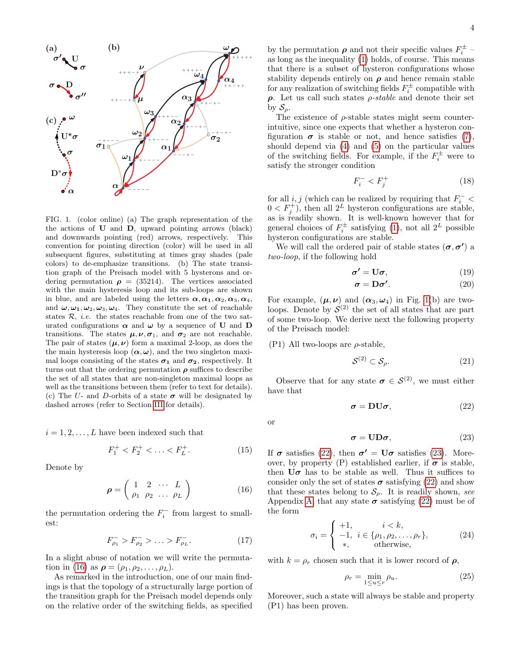

<span id="page-3-0"></span>FIG. 1. (color online) (a) The graph representation of the the actions of U and D, upward pointing arrows (black) and downwards pointing (red) arrows, respectively. This convention for pointing direction (color) will be used in all subsequent figures, substituting at times gray shades (pale colors) to de-emphasize transitions. (b) The state transition graph of the Preisach model with 5 hysterons and ordering permutation  $\rho = (35214)$ . The vertices associated with the main hysteresis loop and its sub-loops are shown in blue, and are labeled using the letters  $\alpha, \alpha_1, \alpha_2, \alpha_3, \alpha_4$ , and  $\omega, \omega_1, \omega_2, \omega_3, \omega_4$ . They constitute the set of reachable states  $R$ , *i.e.* the states reachable from one of the two saturated configurations  $\alpha$  and  $\omega$  by a sequence of **U** and **D** transitions. The states  $\mu, \nu, \sigma_1$ , and  $\sigma_2$  are not reachable. The pair of states  $(\mu, \nu)$  form a maximal 2-loop, as does the the main hysteresis loop  $(\alpha, \omega)$ , and the two singleton maximal loops consisting of the states  $\sigma_1$  and  $\sigma_2$ , respectively. It turns out that the ordering permutation  $\rho$  suffices to describe the set of all states that are non-singleton maximal loops as well as the transitions between them (refer to text for details). (c) The U- and D-orbits of a state  $\sigma$  will be designated by dashed arrows (refer to Section [III](#page-4-0) for details).

 $i = 1, 2, \ldots, L$  have been indexed such that

<span id="page-3-6"></span>
$$
F_1^+ < F_2^+ < \ldots < F_L^+.\tag{15}
$$

Denote by

<span id="page-3-1"></span>
$$
\boldsymbol{\rho} = \left( \begin{array}{cccc} 1 & 2 & \cdots & L \\ \rho_1 & \rho_2 & \cdots & \rho_L \end{array} \right) \tag{16}
$$

the permutation ordering the  $F_i^-$  from largest to smallest:

<span id="page-3-4"></span>
$$
F_{\rho_1}^- > F_{\rho_2}^- > \ldots > F_{\rho_L}^-.
$$
 (17)

In a slight abuse of notation we will write the permuta-tion in [\(16\)](#page-3-1) as  $\rho = (\rho_1, \rho_2, \ldots, \rho_L)$ .

As remarked in the introduction, one of our main findings is that the topology of a structurally large portion of the transition graph for the Preisach model depends only on the relative order of the switching fields, as specified

by the permutation  $\rho$  and not their specific values  $F_i^{\pm}$  – as long as the inequality [\(1\)](#page-1-3) holds, of course. This means that there is a subset of hysteron configurations whose stability depends entirely on  $\rho$  and hence remain stable for any realization of switching fields  $F_i^{\pm}$  compatible with  $\rho$ . Let us call such states  $\rho$ -stable and denote their set by  $S_{\rho}$ .

The existence of  $\rho$ -stable states might seem counterintuitive, since one expects that whether a hysteron configuration  $\sigma$  is stable or not, and hence satisfies [\(7\)](#page-2-1), should depend via [\(4\)](#page-1-1) and [\(5\)](#page-1-2) on the particular values of the switching fields. For example, if the  $F_i^{\pm}$  were to satisfy the stronger condition

$$
F_i^- < F_j^+ \tag{18}
$$

for all  $i, j$  (which can be realized by requiring that  $F_i^-$  <  $0 < F_j^+$ , then all  $2^L$  hysteron configurations are stable, as is readily shown. It is well-known however that for general choices of  $F_i^{\pm}$  satisfying [\(1\)](#page-1-3), not all  $2^L$  possible hysteron configurations are stable.

We will call the ordered pair of stable states  $(\sigma, \sigma')$  a two-loop, if the following hold

$$
\sigma' = U\sigma, \qquad (19)
$$

$$
\sigma = \mathbf{D}\sigma'.\tag{20}
$$

For example,  $(\mu, \nu)$  and  $(\alpha_3, \omega_4)$  in Fig. [1\(](#page-3-0)b) are twoloops. Denote by  $S^{(2)}$  the set of all states that are part of some two-loop. We derive next the following property of the Preisach model:

#### (P1) All two-loops are  $\rho$ -stable,

<span id="page-3-5"></span>
$$
S^{(2)} \subset \mathcal{S}_{\rho}.\tag{21}
$$

Observe that for any state  $\sigma \in \mathcal{S}^{(2)}$ , we must either have that

<span id="page-3-2"></span>
$$
\sigma = DU\sigma, \tag{22}
$$

or

<span id="page-3-3"></span>
$$
\sigma = \text{UD}\sigma,\tag{23}
$$

If  $\sigma$  satisfies [\(22\)](#page-3-2), then  $\sigma' = U\sigma$  satisfies [\(23\)](#page-3-3). Moreover, by property (P) established earlier, if  $\sigma$  is stable, then  $U\sigma$  has to be stable as well. Thus it suffices to consider only the set of states  $\sigma$  satisfying [\(22\)](#page-3-2) and show that these states belong to  $S_{\rho}$ . It is readily shown, see Appendix [A,](#page-13-6) that any state  $\sigma$  satisfying [\(22\)](#page-3-2) must be of the form

<span id="page-3-7"></span>
$$
\sigma_i = \begin{cases}\n+1, & i < k, \\
-1, & i \in \{\rho_1, \rho_2, \dots, \rho_r\}, \\
*, & \text{otherwise,} \n\end{cases}
$$
\n(24)

with  $k = \rho_r$  chosen such that it is lower record of  $\rho$ ,

$$
\rho_r = \min_{1 \le u \le r} \rho_u. \tag{25}
$$

Moreover, such a state will always be stable and property (P1) has been proven.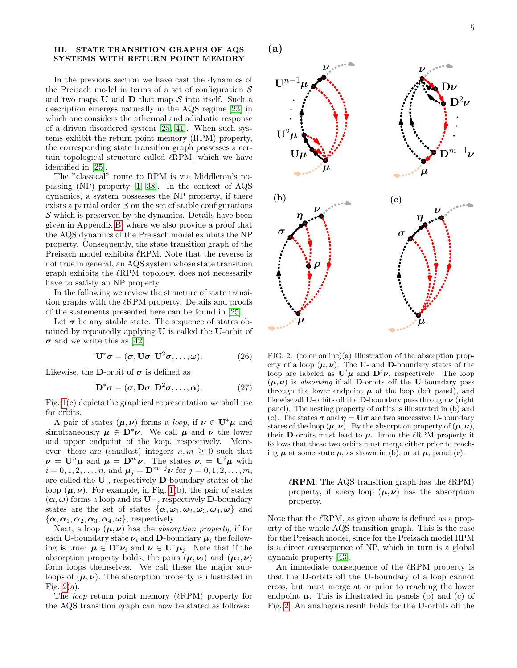# <span id="page-4-0"></span>III. STATE TRANSITION GRAPHS OF AQS SYSTEMS WITH RETURN POINT MEMORY

In the previous section we have cast the dynamics of the Preisach model in terms of a set of configuration  $\mathcal S$ and two maps  $U$  and  $D$  that map  $S$  into itself. Such a description emerges naturally in the AQS regime [\[23\]](#page-12-5) in which one considers the athermal and adiabatic response of a driven disordered system [\[25,](#page-12-8) [41\]](#page-13-10). When such systems exhibit the return point memory (RPM) property, the corresponding state transition graph possesses a certain topological structure called  $\ell$ RPM, which we have identified in [\[25\]](#page-12-8).

The "classical" route to RPM is via Middleton's nopassing (NP) property [\[1,](#page-12-0) [38\]](#page-13-7). In the context of AQS dynamics, a system possesses the NP property, if there exists a partial order  $\preceq$  on the set of stable configurations  $\mathcal S$  which is preserved by the dynamics. Details have been given in Appendix [B,](#page-14-0) where we also provide a proof that the AQS dynamics of the Preisach model exhibits the NP property. Consequently, the state transition graph of the Preisach model exhibits  $\ell$ RPM. Note that the reverse is not true in general, an AQS system whose state transition graph exhibits the  $\ell$ RPM topology, does not necessarily have to satisfy an NP property.

In the following we review the structure of state transition graphs with the  $\ell$ RPM property. Details and proofs of the statements presented here can be found in [\[25\]](#page-12-8).

Let  $\sigma$  be any stable state. The sequence of states obtained by repeatedly applying U is called the U-orbit of  $\sigma$  and we write this as [\[42\]](#page-13-11)

$$
\mathbf{U}^*\boldsymbol{\sigma} = (\boldsymbol{\sigma}, \mathbf{U}\boldsymbol{\sigma}, \mathbf{U}^2\boldsymbol{\sigma}, \dots, \boldsymbol{\omega}). \tag{26}
$$

Likewise, the D-orbit of  $\sigma$  is defined as

$$
\mathbf{D}^*\boldsymbol{\sigma} = (\boldsymbol{\sigma}, \mathbf{D}\boldsymbol{\sigma}, \mathbf{D}^2\boldsymbol{\sigma}, \dots, \boldsymbol{\alpha}). \tag{27}
$$

Fig. [1\(](#page-3-0)c) depicts the graphical representation we shall use for orbits.

A pair of states  $(\mu, \nu)$  forms a *loop*, if  $\nu \in U^* \mu$  and simultaneously  $\mu \in D^*\nu$ . We call  $\mu$  and  $\nu$  the lower and upper endpoint of the loop, respectively. Moreover, there are (smallest) integers  $n, m \geq 0$  such that  $\nu = \mathbf{U}^n \mu$  and  $\mu = \mathbf{D}^m \nu$ . The states  $\nu_i = \mathbf{U}^i \mu$  with  $i = 0, 1, 2, \dots, n$ , and  $\mu_i = \mathbf{D}^{m-j}\nu$  for  $j = 0, 1, 2, \dots, m$ , are called the U-, respectively D-boundary states of the loop  $(\mu, \nu)$ . For example, in Fig. [1\(](#page-3-0)b), the pair of states  $(\boldsymbol{\alpha}, \boldsymbol{\omega})$  forms a loop and its U−, respectively D-boundary states are the set of states  $\{\boldsymbol{\alpha}, \boldsymbol{\omega}_1, \boldsymbol{\omega}_2, \boldsymbol{\omega}_3, \boldsymbol{\omega}_4, \boldsymbol{\omega}\}\$ and  ${\alpha, \alpha_1, \alpha_2, \alpha_3, \alpha_4, \omega}$ , respectively.

Next, a loop  $(\mu, \nu)$  has the *absorption property*, if for each U-boundary state  $\nu_i$  and D-boundary  $\mu_i$  the following is true:  $\mu \in \mathbf{D}^* \nu_i$  and  $\nu \in \mathbf{U}^* \mu_i$ . Note that if the absorption property holds, the pairs  $(\mu, \nu_i)$  and  $(\mu_i, \nu)$ form loops themselves. We call these the major subloops of  $(\mu, \nu)$ . The absorption property is illustrated in Fig.  $2(a)$ .

The *loop* return point memory  $(\ell$ RPM) property for the AQS transition graph can now be stated as follows:



<span id="page-4-1"></span>FIG. 2. (color online)(a) Illustration of the absorption property of a loop  $(\mu, \nu)$ . The U- and D-boundary states of the loop are labeled as  $\mathbf{U}^i \mu$  and  $\mathbf{D}^j \nu$ , respectively. The loop  $(\mu, \nu)$  is absorbing if all **D**-orbits off the U-boundary pass through the lower endpoint  $\mu$  of the loop (left panel), and likewise all U-orbits off the D-boundary pass through  $\nu$  (right panel). The nesting property of orbits is illustrated in (b) and (c). The states  $\sigma$  and  $\eta = U\sigma$  are two successive U-boundary states of the loop  $(\mu, \nu)$ . By the absorption property of  $(\mu, \nu)$ , their D-orbits must lead to  $\mu$ . From the  $\ell$ RPM property it follows that these two orbits must merge either prior to reaching  $\mu$  at some state  $\rho$ , as shown in (b), or at  $\mu$ , panel (c).

 $\ell$ **RPM**: The AQS transition graph has the  $\ell$ RPM) property, if every loop  $(\mu, \nu)$  has the absorption property.

Note that the  $\ell$ RPM, as given above is defined as a property of the whole AQS transition graph. This is the case for the Preisach model, since for the Preisach model RPM is a direct consequence of NP, which in turn is a global dynamic property [\[43\]](#page-13-12).

An immediate consequence of the  $\ell$ RPM property is that the D-orbits off the U-boundary of a loop cannot cross, but must merge at or prior to reaching the lower endpoint  $\mu$ . This is illustrated in panels (b) and (c) of Fig. [2.](#page-4-1) An analogous result holds for the U-orbits off the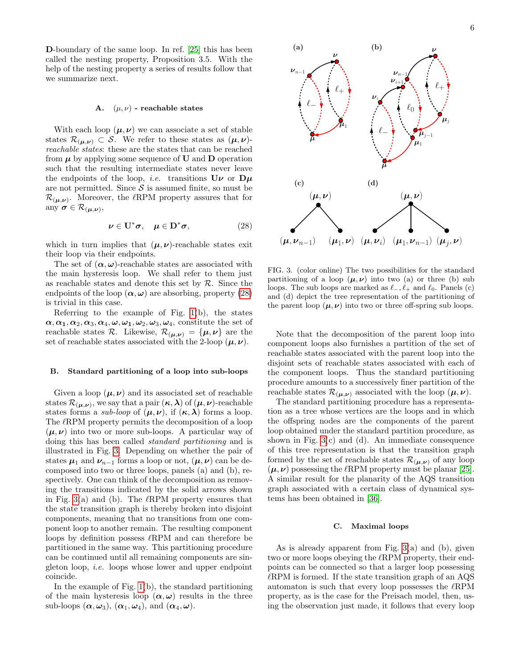D-boundary of the same loop. In ref. [\[25\]](#page-12-8) this has been called the nesting property, Proposition 3.5. With the help of the nesting property a series of results follow that we summarize next.

#### <span id="page-5-2"></span>A.  $(\mu, \nu)$  - reachable states

With each loop  $(\mu, \nu)$  we can associate a set of stable states  $\mathcal{R}_{(\mu,\nu)} \subset \mathcal{S}$ . We refer to these states as  $(\mu,\nu)$ reachable states: these are the states that can be reached from  $\mu$  by applying some sequence of U and D operation such that the resulting intermediate states never leave the endpoints of the loop, *i.e.* transitions  $U\nu$  or  $D\mu$ are not permitted. Since  $S$  is assumed finite, so must be  $\mathcal{R}_{(\mu,\nu)}$ . Moreover, the  $\ell$ RPM property assures that for any  $\sigma \in \mathcal{R}_{(\mu,\nu)},$ 

<span id="page-5-0"></span>
$$
\nu \in \mathbf{U}^*\sigma, \quad \mu \in \mathbf{D}^*\sigma, \tag{28}
$$

which in turn implies that  $(\mu, \nu)$ -reachable states exit their loop via their endpoints.

The set of  $(\alpha, \omega)$ -reachable states are associated with the main hysteresis loop. We shall refer to them just as reachable states and denote this set by  $R$ . Since the endpoints of the loop  $(\alpha, \omega)$  are absorbing, property [\(28\)](#page-5-0) is trivial in this case.

Referring to the example of Fig. [1\(](#page-3-0)b), the states  $\alpha, \alpha_1, \alpha_2, \alpha_3, \alpha_4, \omega, \omega_1, \omega_2, \omega_3, \omega_4$ , constitute the set of reachable states  $\mathcal{R}$ . Likewise,  $\mathcal{R}_{(\mu,\nu)} = {\mu, \nu}$  are the set of reachable states associated with the 2-loop  $(\mu, \nu)$ .

#### <span id="page-5-4"></span>B. Standard partitioning of a loop into sub-loops

Given a loop  $(\mu, \nu)$  and its associated set of reachable states  $\mathcal{R}_{(\mu,\nu)}$ , we say that a pair  $(\kappa,\lambda)$  of  $(\mu,\nu)$ -reachable states forms a *sub-loop* of  $(\mu, \nu)$ , if  $(\kappa, \lambda)$  forms a loop. The  $\ell$ RPM property permits the decomposition of a loop  $(\mu, \nu)$  into two or more sub-loops. A particular way of doing this has been called standard partitioning and is illustrated in Fig. [3.](#page-5-1) Depending on whether the pair of states  $\mu_1$  and  $\nu_{n-1}$  forms a loop or not,  $(\mu, \nu)$  can be decomposed into two or three loops, panels (a) and (b), respectively. One can think of the decomposition as removing the transitions indicated by the solid arrows shown in Fig. [3\(](#page-5-1)a) and (b). The  $\ell$ RPM property ensures that the state transition graph is thereby broken into disjoint components, meaning that no transitions from one component loop to another remain. The resulting component loops by definition possess  $\ell$ RPM and can therefore be partitioned in the same way. This partitioning procedure can be continued until all remaining components are singleton loop, i.e. loops whose lower and upper endpoint coincide.

In the example of Fig. [1\(](#page-3-0)b), the standard partitioning of the main hysteresis loop  $(\alpha, \omega)$  results in the three sub-loops  $(\boldsymbol{\alpha}, \boldsymbol{\omega}_3)$ ,  $(\boldsymbol{\alpha}_1, \boldsymbol{\omega}_4)$ , and  $(\boldsymbol{\alpha}_4, \boldsymbol{\omega})$ .



<span id="page-5-1"></span>FIG. 3. (color online) The two possibilities for the standard partitioning of a loop  $(\mu, \nu)$  into two (a) or three (b) sub loops. The sub loops are marked as  $\ell_-, \ell_+$  and  $\ell_0$ . Panels (c) and (d) depict the tree representation of the partitioning of the parent loop  $(\mu, \nu)$  into two or three off-spring sub loops.

Note that the decomposition of the parent loop into component loops also furnishes a partition of the set of reachable states associated with the parent loop into the disjoint sets of reachable states associated with each of the component loops. Thus the standard partitioning procedure amounts to a successively finer partition of the reachable states  $\mathcal{R}_{(\mu,\nu)}$  associated with the loop  $(\mu,\nu)$ .

The standard partitioning procedure has a representation as a tree whose vertices are the loops and in which the offspring nodes are the components of the parent loop obtained under the standard partition procedure, as shown in Fig.  $3(c)$  and (d). An immediate consequence of this tree representation is that the transition graph formed by the set of reachable states  $\mathcal{R}_{(\mu,\nu)}$  of any loop  $(\mu, \nu)$  possessing the  $\ell$ RPM property must be planar [\[25\]](#page-12-8). A similar result for the planarity of the AQS transition graph associated with a certain class of dynamical systems has been obtained in [\[36\]](#page-13-4).

# <span id="page-5-3"></span>C. Maximal loops

As is already apparent from Fig. [3\(](#page-5-1)a) and (b), given two or more loops obeying the  $\ell$ RPM property, their endpoints can be connected so that a larger loop possessing  $\ell$ RPM is formed. If the state transition graph of an AQS automaton is such that every loop possesses the  $\ell$ RPM property, as is the case for the Preisach model, then, using the observation just made, it follows that every loop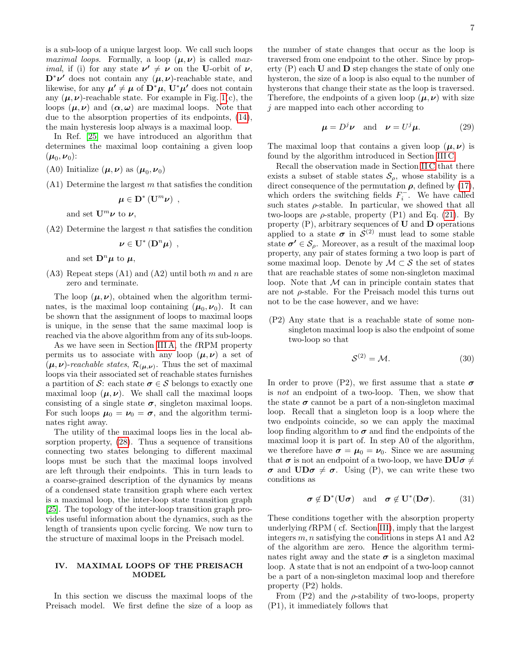is a sub-loop of a unique largest loop. We call such loops *maximal loops.* Formally, a loop  $(\mu, \nu)$  is called max*imal*, if (i) for any state  $\nu' \neq \nu$  on the U-orbit of  $\nu$ ,  $\mathbf{D}^*\nu'$  does not contain any  $(\mu, \nu)$ -reachable state, and likewise, for any  $\mu' \neq \mu$  of  $\mathbf{D}^*\mu$ ,  $\mathbf{U}^*\mu'$  does not contain any  $(\mu, \nu)$ -reachable state. For example in Fig. [1\(](#page-3-0)c), the loops  $(\mu, \nu)$  and  $(\alpha, \omega)$  are maximal loops. Note that due to the absorption properties of its endpoints, [\(14\)](#page-2-3), the main hysteresis loop always is a maximal loop.

In Ref. [\[25\]](#page-12-8) we have introduced an algorithm that determines the maximal loop containing a given loop  $(\boldsymbol{\mu}_0,\boldsymbol{\nu}_0)$ :

- (A0) Initialize  $(\mu, \nu)$  as  $(\mu_0, \nu_0)$
- $(A1)$  Determine the largest m that satisfies the condition

$$
\mu\in\mathbf{D}^{\ast}\left( \mathbf{U}^{m}\boldsymbol{\nu}\right) \ ,
$$

and set  $\mathbf{U}^m \boldsymbol{\nu}$  to  $\boldsymbol{\nu}$ ,

 $(A2)$  Determine the largest *n* that satisfies the condition

$$
\pmb{\nu} \in \mathbf{U}^* \left( \mathbf{D}^n \pmb{\mu} \right) \; ,
$$

and set  $\mathbf{D}^n\boldsymbol{\mu}$  to  $\boldsymbol{\mu}$ ,

 $(A3)$  Repeat steps  $(A1)$  and  $(A2)$  until both m and n are zero and terminate.

The loop  $(\mu, \nu)$ , obtained when the algorithm terminates, is the maximal loop containing  $(\mu_0, \nu_0)$ . It can be shown that the assignment of loops to maximal loops is unique, in the sense that the same maximal loop is reached via the above algorithm from any of its sub-loops.

As we have seen in Section [III A,](#page-5-2) the  $\ell$ RPM property permits us to associate with any loop  $(\mu, \nu)$  a set of  $(\mu, \nu)$ -reachable states,  $\mathcal{R}_{(\mu,\nu)}$ . Thus the set of maximal loops via their associated set of reachable states furnishes a partition of S: each state  $\sigma \in S$  belongs to exactly one maximal loop  $(\mu, \nu)$ . We shall call the maximal loops consisting of a single state  $\sigma$ , singleton maximal loops. For such loops  $\mu_0 = \nu_0 = \sigma$ , and the algorithm terminates right away.

The utility of the maximal loops lies in the local absorption property, [\(28\)](#page-5-0). Thus a sequence of transitions connecting two states belonging to different maximal loops must be such that the maximal loops involved are left through their endpoints. This in turn leads to a coarse-grained description of the dynamics by means of a condensed state transition graph where each vertex is a maximal loop, the inter-loop state transition graph [\[25\]](#page-12-8). The topology of the inter-loop transition graph provides useful information about the dynamics, such as the length of transients upon cyclic forcing. We now turn to the structure of maximal loops in the Preisach model.

# <span id="page-6-0"></span>IV. MAXIMAL LOOPS OF THE PREISACH MODEL

In this section we discuss the maximal loops of the Preisach model. We first define the size of a loop as

the number of state changes that occur as the loop is traversed from one endpoint to the other. Since by property  $(P)$  each U and D step changes the state of only one hysteron, the size of a loop is also equal to the number of hysterons that change their state as the loop is traversed. Therefore, the endpoints of a given loop  $(\mu, \nu)$  with size j are mapped into each other according to

$$
\mu = D^j \nu \quad \text{and} \quad \nu = U^j \mu. \tag{29}
$$

The maximal loop that contains a given loop  $(\mu, \nu)$  is found by the algorithm introduced in Section [III C.](#page-5-3)

Recall the observation made in Section [II C](#page-2-0) that there exists a subset of stable states  $\mathcal{S}_{\rho}$ , whose stability is a direct consequence of the permutation  $\rho$ , defined by [\(17\)](#page-3-4), which orders the switching fields  $F_i^-$ . We have called such states  $\rho$ -stable. In particular, we showed that all two-loops are  $\rho$ -stable, property (P1) and Eq. [\(21\)](#page-3-5). By property  $(P)$ , arbitrary sequences of U and D operations applied to a state  $\sigma$  in  $\mathcal{S}^{(2)}$  must lead to some stable state  $\sigma' \in \mathcal{S}_{\rho}$ . Moreover, as a result of the maximal loop property, any pair of states forming a two loop is part of some maximal loop. Denote by  $\mathcal{M} \subset \mathcal{S}$  the set of states that are reachable states of some non-singleton maximal loop. Note that  $M$  can in principle contain states that are not  $\rho$ -stable. For the Preisach model this turns out not to be the case however, and we have:

(P2) Any state that is a reachable state of some nonsingleton maximal loop is also the endpoint of some two-loop so that

$$
S^{(2)} = \mathcal{M}.\tag{30}
$$

In order to prove (P2), we first assume that a state  $\sigma$ is not an endpoint of a two-loop. Then, we show that the state  $\sigma$  cannot be a part of a non-singleton maximal loop. Recall that a singleton loop is a loop where the two endpoints coincide, so we can apply the maximal loop finding algorithm to  $\sigma$  and find the endpoints of the maximal loop it is part of. In step A0 of the algorithm, we therefore have  $\sigma = \mu_0 = \nu_0$ . Since we are assuming that  $\sigma$  is not an endpoint of a two-loop, we have  $DU\sigma \neq$ **σ** and  $\mathbf{UD}\sigma \neq \sigma$ . Using (P), we can write these two conditions as

$$
\sigma \notin D^*(U\sigma) \quad \text{and} \quad \sigma \notin U^*(D\sigma). \tag{31}
$$

These conditions together with the absorption property underlying  $\ell$ RPM ( cf. Section [III\)](#page-4-0), imply that the largest integers  $m, n$  satisfying the conditions in steps A1 and A2 of the algorithm are zero. Hence the algorithm terminates right away and the state  $\sigma$  is a singleton maximal loop. A state that is not an endpoint of a two-loop cannot be a part of a non-singleton maximal loop and therefore property (P2) holds.

From  $(P2)$  and the  $\rho$ -stability of two-loops, property (P1), it immediately follows that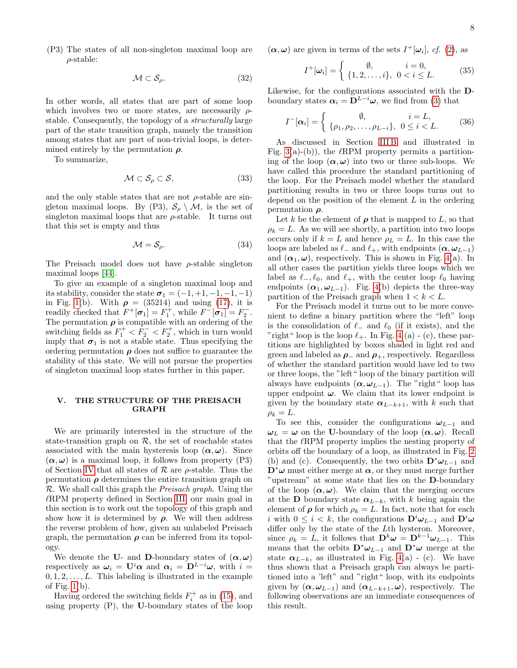(P3) The states of all non-singleton maximal loop are  $\rho$ -stable:

$$
\mathcal{M} \subset \mathcal{S}_{\rho}.\tag{32}
$$

In other words, all states that are part of some loop which involves two or more states, are necessarily  $\rho$ stable. Consequently, the topology of a structurally large part of the state transition graph, namely the transition among states that are part of non-trivial loops, is determined entirely by the permutation  $\rho$ .

To summarize,

$$
\mathcal{M} \subset \mathcal{S}_{\rho} \subset \mathcal{S},\tag{33}
$$

and the only stable states that are not  $\rho$ -stable are singleton maximal loops. By (P3),  $S_\rho \setminus M$ , is the set of singleton maximal loops that are  $\rho$ -stable. It turns out that this set is empty and thus

$$
\mathcal{M} = \mathcal{S}_{\rho}.\tag{34}
$$

The Preisach model does not have  $\rho$ -stable singleton maximal loops [\[44\]](#page-13-13).

To give an example of a singleton maximal loop and its stability, consider the state  $\sigma_1 = (-1, +1, -1, -1, -1)$ in Fig. [1\(](#page-3-0)b). With  $\rho = (35214)$  and using [\(17\)](#page-3-4), it is readily checked that  $F^+[\sigma_1] = F_1^+,$  while  $F^-[\sigma_1] = F_2^-.$ The permutation  $\rho$  is compatible with an ordering of the switching fields as  $F_1^+ < F_2^- < F_2^+$ , which in turn would imply that  $\sigma_1$  is not a stable state. Thus specifying the ordering permutation  $\rho$  does not suffice to guarantee the stability of this state. We will not pursue the properties of singleton maximal loop states further in this paper.

### <span id="page-7-0"></span>V. THE STRUCTURE OF THE PREISACH GRAPH

We are primarily interested in the structure of the state-transition graph on  $R$ , the set of reachable states associated with the main hysteresis loop  $(\alpha, \omega)$ . Since  $(\alpha, \omega)$  is a maximal loop, it follows from property (P3) of Section [IV](#page-6-0) that all states of  $\mathcal R$  are  $\rho$ -stable. Thus the permutation  $\rho$  determines the entire transition graph on  $\mathcal R$ . We shall call this graph the *Preisach graph*. Using the  $\ell$ RPM property defined in Section [III,](#page-4-0) our main goal in this section is to work out the topology of this graph and show how it is determined by  $\rho$ . We will then address the reverse problem of how, given an unlabeled Preisach graph, the permutation  $\rho$  can be inferred from its topology.

We denote the U- and D-boundary states of  $(\alpha, \omega)$ respectively as  $\boldsymbol{\omega}_i = \mathbf{U}^i \boldsymbol{\alpha}$  and  $\boldsymbol{\alpha}_i = \mathbf{D}^{L-i} \boldsymbol{\omega}$ , with  $i =$  $0, 1, 2, \ldots, L$ . This labeling is illustrated in the example of Fig. [1\(](#page-3-0)b).

Having ordered the switching fields  $F_i^+$  as in [\(15\)](#page-3-6), and using property (P), the U-boundary states of the loop  $(\alpha, \omega)$  are given in terms of the sets  $I^+[\omega_i]$ , cf. [\(2\)](#page-1-4), as

$$
I^{+}[\omega_{i}] = \begin{cases} \emptyset, & i = 0, \\ \{1, 2, \dots, i\}, & 0 < i \leq L. \end{cases}
$$
 (35)

Likewise, for the configurations associated with the Dboundary states  $\alpha_i = \mathbf{D}^{L-i}\boldsymbol{\omega}$ , we find from [\(3\)](#page-1-5) that

$$
I^{-}[\alpha_{i}] = \begin{cases} \emptyset, & i = L, \\ \{\rho_{1}, \rho_{2}, \dots, \rho_{L-i}\}, & 0 \leq i < L. \end{cases} \tag{36}
$$

As discussed in Section [III B](#page-5-4) and illustrated in Fig. [3\(](#page-5-1)a)-(b)), the  $\ell$ RPM property permits a partitioning of the loop  $(\alpha, \omega)$  into two or three sub-loops. We have called this procedure the standard partitioning of the loop. For the Preisach model whether the standard partitioning results in two or three loops turns out to depend on the position of the element  $L$  in the ordering permutation  $\rho$ .

Let k be the element of  $\rho$  that is mapped to L, so that  $\rho_k = L$ . As we will see shortly, a partition into two loops occurs only if  $k = L$  and hence  $\rho_L = L$ . In this case the loops are labeled as  $\ell_+$  and  $\ell_+$ , with endpoints  $({\boldsymbol{\alpha}}, {\boldsymbol{\omega}}_{L-1})$ and  $(\alpha_1, \omega)$ , respectively. This is shown in Fig. [4\(](#page-8-0)a). In all other cases the partition yields three loops which we label as  $\ell_-, \ell_0$ , and  $\ell_+$ , with the center loop  $\ell_0$  having endpoints  $(\boldsymbol{\alpha}_1, \boldsymbol{\omega}_{L-1})$ . Fig. [4\(](#page-8-0)b) depicts the three-way partition of the Preisach graph when  $1 < k < L$ .

For the Preisach model it turns out to be more convenient to define a binary partition where the "left" loop is the consolidation of  $\ell_$  and  $\ell_0$  (if it exists), and the "right" loop is the loop  $\ell_+$ . In Fig. [4](#page-8-0) (a) - (c), these partitions are highlighted by boxes shaded in light red and green and labeled as  $\rho_-\$  and  $\rho_+$ , respectively. Regardless of whether the standard partition would have led to two or three loops, the "left" loop of the binary partition will always have endpoints  $(\alpha, \omega_{L-1})$ . The "right" loop has upper endpoint  $\omega$ . We claim that its lower endpoint is given by the boundary state  $\alpha_{L-k+1}$ , with k such that  $\rho_k = L.$ 

To see this, consider the configurations  $\omega_{L-1}$  and  $\omega_L = \omega$  on the U-boundary of the loop  $(\alpha, \omega)$ . Recall that the  $\ell$ RPM property implies the nesting property of orbits off the boundary of a loop, as illustrated in Fig. [2](#page-4-1) (b) and (c). Consequently, the two orbits  $\mathbf{D}^* \omega_{L-1}$  and  $\mathbf{D}^*\boldsymbol{\omega}$  must either merge at  $\boldsymbol{\alpha}$ , or they must merge further "upstream" at some state that lies on the D-boundary of the loop  $(\alpha, \omega)$ . We claim that the merging occurs at the D boundary state  $\alpha_{L-k}$ , with k being again the element of  $\rho$  for which  $\rho_k = L$ . In fact, note that for each i with  $0 \leq i < k$ , the configurations  $\mathbf{D}^i \boldsymbol{\omega}_{L-1}$  and  $\mathbf{D}^i \boldsymbol{\omega}$ differ only by the state of the Lth hysteron. Moreover, since  $\rho_k = L$ , it follows that  $\mathbf{D}^k \boldsymbol{\omega} = \mathbf{D}^{k-1} \boldsymbol{\omega}_{L-1}$ . This means that the orbits  $\mathbf{D}^* \omega_{L-1}$  and  $\mathbf{D}^* \omega$  merge at the state  $\alpha_{L-k}$ , as illustrated in Fig. [4\(](#page-8-0)a) - (c). We have thus shown that a Preisach graph can always be partitioned into a 'left" and "right" loop, with its endpoints given by  $(\boldsymbol{\alpha}, \boldsymbol{\omega}_{L-1})$  and  $(\boldsymbol{\alpha}_{L-k+1}, \boldsymbol{\omega})$ , respectively. The following observations are an immediate consequences of this result.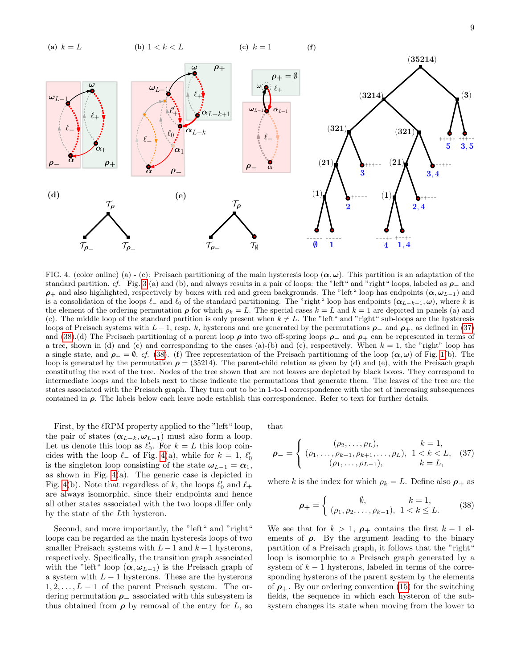

<span id="page-8-0"></span>FIG. 4. (color online) (a) - (c): Preisach partitioning of the main hysteresis loop  $(\alpha, \omega)$ . This partition is an adaptation of the standard partition, cf. Fig. [3](#page-5-1) (a) and (b), and always results in a pair of loops: the "left" and "right" loops, labeled as  $\rho_-$  and  $\rho_+$  and also highlighted, respectively by boxes with red and green backgrounds. The "left" loop has endpoints  $(\alpha, \omega_{L-1})$  and is a consolidation of the loops  $\ell_-\$  and  $\ell_0$  of the standard partitioning. The "right" loop has endpoints  $(\alpha_{L-k+1}, \omega)$ , where k is the element of the ordering permutation  $\rho$  for which  $\rho_k = L$ . The special cases  $k = L$  and  $k = 1$  are depicted in panels (a) and (c). The middle loop of the standard partition is only present when  $k \neq L$ . The "left" and "right" sub-loops are the hysteresis loops of Preisach systems with  $L-1$ , resp. k, hysterons and are generated by the permutations  $\rho_-$  and  $\rho_+$ , as defined in [\(37\)](#page-8-1) and [\(38\)](#page-8-2).(d) The Preisach partitioning of a parent loop  $\rho$  into two off-spring loops  $\rho_-$  and  $\rho_+$  can be represented in terms of a tree, shown in (d) and (e) and corresponding to the cases (a)-(b) and (c), respectively. When  $k = 1$ , the "right" loop has a single state, and  $\rho_+ = \emptyset$ , cf. [\(38\)](#page-8-2). (f) Tree representation of the Preisach partitioning of the loop  $(\alpha, \omega)$  of Fig. [1\(](#page-3-0)b). The loop is generated by the permutation  $\rho = (35214)$ . The parent-child relation as given by (d) and (e), with the Preisach graph constituting the root of the tree. Nodes of the tree shown that are not leaves are depicted by black boxes. They correspond to intermediate loops and the labels next to these indicate the permutations that generate them. The leaves of the tree are the states associated with the Preisach graph. They turn out to be in 1-to-1 correspondence with the set of increasing subsequences contained in  $\rho$ . The labels below each leave node establish this correspondence. Refer to text for further details.

First, by the  $\ell$ RPM property applied to the "left" loop, the pair of states  $(\alpha_{L-k}, \omega_{L-1})$  must also form a loop. Let us denote this loop as  $\ell'_0$ . For  $k = L$  this loop coincides with the loop  $\ell$ <sub>−</sub> of Fig. [4\(](#page-8-0)a), while for  $k = 1, \ell'_0$ is the singleton loop consisting of the state  $\omega_{L-1} = \alpha_1$ , as shown in Fig. [4\(](#page-8-0)a). The generic case is depicted in Fig. [4\(](#page-8-0)b). Note that regardless of  $k,$  the loops  $\ell_0'$  and  $\ell_+$ are always isomorphic, since their endpoints and hence all other states associated with the two loops differ only by the state of the Lth hysteron.

Second, and more importantly, the "left" and "right" loops can be regarded as the main hysteresis loops of two smaller Preisach systems with  $L-1$  and  $k-1$  hysterons, respectively. Specifically, the transition graph associated with the "left" loop  $(\alpha, \omega_{L-1})$  is the Preisach graph of a system with  $L - 1$  hysterons. These are the hysterons  $1, 2, \ldots, L-1$  of the parent Preisach system. The ordering permutation  $\rho$ <sub>—</sub> associated with this subsystem is thus obtained from  $\rho$  by removal of the entry for L, so

that

<span id="page-8-1"></span>
$$
\rho_{-} = \begin{cases}\n(\rho_2, \dots, \rho_L), & k = 1, \\
(\rho_1, \dots, \rho_{k-1}, \rho_{k+1}, \dots, \rho_L), & 1 < k < L, \\
(\rho_1, \dots, \rho_{L-1}), & k = L,\n\end{cases}
$$
\n(37)

where k is the index for which  $\rho_k = L$ . Define also  $\rho_+$  as

<span id="page-8-2"></span>
$$
\rho_{+} = \begin{cases} \emptyset, & k = 1, \\ (\rho_1, \rho_2, \dots, \rho_{k-1}), & 1 < k \le L. \end{cases} (38)
$$

We see that for  $k > 1$ ,  $\rho_+$  contains the first  $k - 1$  elements of  $\rho$ . By the argument leading to the binary partition of a Preisach graph, it follows that the "right" loop is isomorphic to a Preisach graph generated by a system of  $k-1$  hysterons, labeled in terms of the corresponding hysterons of the parent system by the elements of  $\rho_+$ . By our ordering convention [\(15\)](#page-3-6) for the switching fields, the sequence in which each hysteron of the subsystem changes its state when moving from the lower to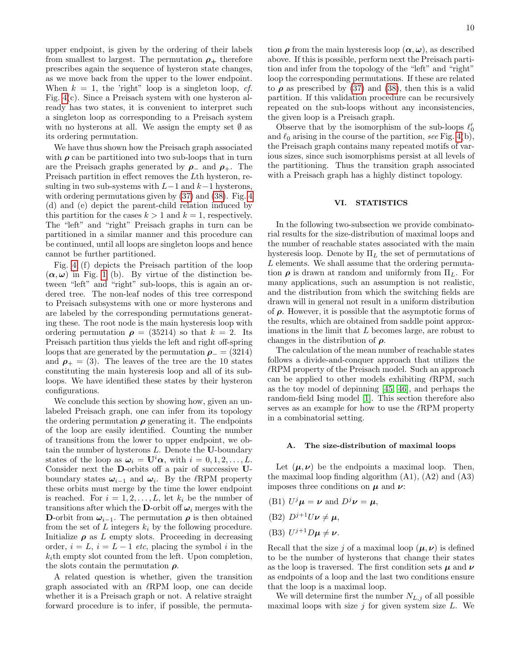upper endpoint, is given by the ordering of their labels from smallest to largest. The permutation  $\rho_+$  therefore prescribes again the sequence of hysteron state changes, as we move back from the upper to the lower endpoint. When  $k = 1$ , the 'right" loop is a singleton loop, cf. Fig. [4\(](#page-8-0)c). Since a Preisach system with one hysteron already has two states, it is convenient to interpret such a singleton loop as corresponding to a Preisach system with no hysterons at all. We assign the empty set  $\emptyset$  as its ordering permutation.

We have thus shown how the Preisach graph associated with  $\rho$  can be partitioned into two sub-loops that in turn are the Preisach graphs generated by  $\rho_-\,$  and  $\rho_+\,$ . The Preisach partition in effect removes the Lth hysteron, resulting in two sub-systems with  $L-1$  and  $k-1$  hysterons, with ordering permutations given by [\(37\)](#page-8-1) and [\(38\)](#page-8-2). Fig. [4](#page-8-0) (d) and (e) depict the parent-child relation induced by this partition for the cases  $k > 1$  and  $k = 1$ , respectively. The "left" and "right" Preisach graphs in turn can be partitioned in a similar manner and this procedure can be continued, until all loops are singleton loops and hence cannot be further partitioned.

Fig. [4](#page-8-0) (f) depicts the Preisach partition of the loop  $(\alpha, \omega)$  in Fig. [1](#page-3-0) (b). By virtue of the distinction between "left" and "right" sub-loops, this is again an ordered tree. The non-leaf nodes of this tree correspond to Preisach subsystems with one or more hysterons and are labeled by the corresponding permutations generating these. The root node is the main hysteresis loop with ordering permutation  $\rho = (35214)$  so that  $k = 2$ . Its Preisach partition thus yields the left and right off-spring loops that are generated by the permutation  $\rho = (3214)$ and  $\rho_{+} = (3)$ . The leaves of the tree are the 10 states constituting the main hysteresis loop and all of its subloops. We have identified these states by their hysteron configurations.

We conclude this section by showing how, given an unlabeled Preisach graph, one can infer from its topology the ordering permutation  $\rho$  generating it. The endpoints of the loop are easily identified. Counting the number of transitions from the lower to upper endpoint, we obtain the number of hysterons  $L$ . Denote the U-boundary states of the loop as  $\boldsymbol{\omega}_i = \mathbf{U}^i \boldsymbol{\alpha}$ , with  $i = 0, 1, 2, \dots, L$ . Consider next the D-orbits off a pair of successive Uboundary states  $\omega_{i-1}$  and  $\omega_i$ . By the  $\ell$ RPM property these orbits must merge by the time the lower endpoint is reached. For  $i = 1, 2, ..., L$ , let  $k_i$  be the number of transitions after which the D-orbit off  $\omega_i$  merges with the D-orbit from  $\omega_{i-1}$ . The permutation  $\rho$  is then obtained from the set of L integers  $k_i$  by the following procedure. Initialize  $\rho$  as L empty slots. Proceeding in decreasing order,  $i = L$ ,  $i = L - 1$  etc, placing the symbol i in the  $k_i$ th empty slot counted from the left. Upon completion, the slots contain the permutation  $\rho$ .

A related question is whether, given the transition graph associated with an  $\ell$ RPM loop, one can decide whether it is a Preisach graph or not. A relative straight forward procedure is to infer, if possible, the permuta-

tion  $\rho$  from the main hysteresis loop  $(\alpha, \omega)$ , as described above. If this is possible, perform next the Preisach partition and infer from the topology of the "left" and "right" loop the corresponding permutations. If these are related to  $\rho$  as prescribed by [\(37\)](#page-8-1) and [\(38\)](#page-8-2), then this is a valid partition. If this validation procedure can be recursively repeated on the sub-loops without any inconsistencies, the given loop is a Preisach graph.

Observe that by the isomorphism of the sub-loops  $\ell_0'$ and  $\ell_0$  arising in the course of the partition, see Fig. [4\(](#page-8-0)b), the Preisach graph contains many repeated motifs of various sizes, since such isomorphisms persist at all levels of the partitioning. Thus the transition graph associated with a Preisach graph has a highly distinct topology.

# <span id="page-9-0"></span>VI. STATISTICS

In the following two-subsection we provide combinatorial results for the size-distribution of maximal loops and the number of reachable states associated with the main hysteresis loop. Denote by  $\Pi_L$  the set of permutations of L elements. We shall assume that the ordering permutation  $\rho$  is drawn at random and uniformly from  $\Pi_L$ . For many applications, such an assumption is not realistic, and the distribution from which the switching fields are drawn will in general not result in a uniform distribution of  $\rho$ . However, it is possible that the asymptotic forms of the results, which are obtained from saddle point approximations in the limit that L becomes large, are robust to changes in the distribution of  $\rho$ .

The calculation of the mean number of reachable states follows a divide-and-conquer approach that utilizes the  $\ell$ RPM property of the Preisach model. Such an approach can be applied to other models exhibiting  $\ell$ RPM, such as the toy model of depinning [\[45,](#page-13-14) [46\]](#page-13-15), and perhaps the random-field Ising model [\[1\]](#page-12-0). This section therefore also serves as an example for how to use the  $\ell$ RPM property in a combinatorial setting.

# A. The size-distribution of maximal loops

Let  $(\mu, \nu)$  be the endpoints a maximal loop. Then, the maximal loop finding algorithm  $(A1)$ ,  $(A2)$  and  $(A3)$ imposes three conditions on  $\mu$  and  $\nu$ :

- (B1)  $U^j\mu = \nu$  and  $D^j\nu = \mu$ ,
- (B2)  $D^{j+1}U\nu \neq \mu$ ,
- (B3)  $U^{j+1}D\mu \neq \nu$ .

Recall that the size j of a maximal loop  $(\mu, \nu)$  is defined to be the number of hysterons that change their states as the loop is traversed. The first condition sets  $\mu$  and  $\nu$ as endpoints of a loop and the last two conditions ensure that the loop is a maximal loop.

We will determine first the number  $N_{L,j}$  of all possible maximal loops with size  $j$  for given system size  $L$ . We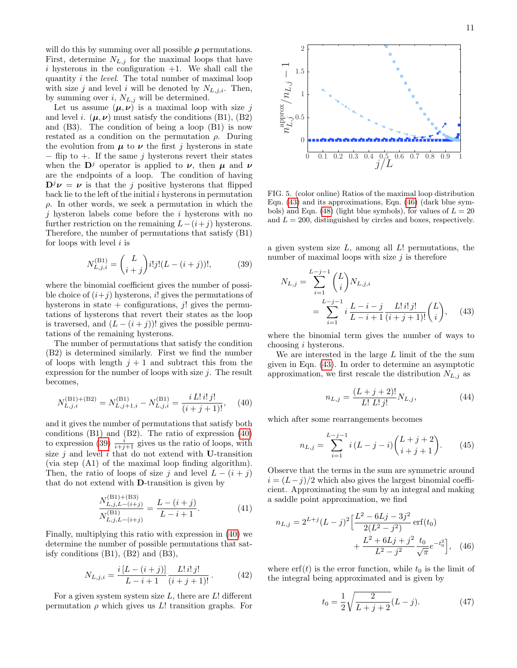will do this by summing over all possible  $\rho$  permutations. First, determine  $N_{L,j}$  for the maximal loops that have  $i$  hysterons in the configuration  $+1$ . We shall call the quantity i the level. The total number of maximal loop with size j and level i will be denoted by  $N_{L,i,i}$ . Then, by summing over  $i, N_{L,j}$  will be determined.

Let us assume  $(\mu, \nu)$  is a maximal loop with size j and level i.  $(\mu, \nu)$  must satisfy the conditions (B1), (B2) and (B3). The condition of being a loop (B1) is now restated as a condition on the permutation  $\rho$ . During the evolution from  $\mu$  to  $\nu$  the first j hysterons in state  $-$  flip to  $+$ . If the same j hysterons revert their states when the  $\mathbf{D}^j$  operator is applied to  $\nu$ , then  $\mu$  and  $\nu$ are the endpoints of a loop. The condition of having  $\mathbf{D}^j \nu = \nu$  is that the j positive hysterons that flipped back lie to the left of the initial  $i$  hysterons in permutation  $\rho$ . In other words, we seek a permutation in which the  $j$  hysteron labels come before the  $i$  hysterons with no further restriction on the remaining  $L-(i+j)$  hysterons. Therefore, the number of permutations that satisfy (B1) for loops with level  $i$  is

<span id="page-10-1"></span>
$$
N_{L,j,i}^{(\text{B1})} = {L \choose i+j} i!j!(L - (i+j))!, \tag{39}
$$

where the binomial coefficient gives the number of possible choice of  $(i+j)$  hysterons, i! gives the permutations of hysterons in state  $+$  configurations, *i*! gives the permutations of hysterons that revert their states as the loop is traversed, and  $(L - (i + j))!$  gives the possible permutations of the remaining hysterons.

The number of permutations that satisfy the condition (B2) is determined similarly. First we find the number of loops with length  $j + 1$  and subtract this from the expression for the number of loops with size  $j$ . The result becomes,

<span id="page-10-0"></span>
$$
N_{L,j,i}^{(\text{B1})+(\text{B2})} = N_{L,j+1,i}^{(\text{B1})} - N_{L,j,i}^{(\text{B1})} = \frac{i L! i! j!}{(i+j+1)!}, \quad (40)
$$

and it gives the number of permutations that satisfy both conditions (B1) and (B2). The ratio of expression [\(40\)](#page-10-0) to expression [\(39\)](#page-10-1)  $\frac{i}{i+j+1}$  gives us the ratio of loops, with size  $j$  and level  $i$  that do not extend with U-transition (via step (A1) of the maximal loop finding algorithm). Then, the ratio of loops of size j and level  $L - (i + j)$ that do not extend with D-transition is given by

$$
\frac{N_{L,j,L-(i+j)}^{(\text{B1})+(\text{B3})}}{N_{L,j,L-(i+j)}^{(\text{B1})}} = \frac{L - (i+j)}{L - i + 1}.
$$
\n(41)

Finally, multiplying this ratio with expression in [\(40\)](#page-10-0) we determine the number of possible permutations that satisfy conditions (B1), (B2) and (B3),

$$
N_{L,j,i} = \frac{i[L - (i+j)]}{L - i + 1} \frac{L! \, i! \, j!}{(i+j+1)!} \,. \tag{42}
$$

For a given system system size  $L$ , there are  $L!$  different permutation  $\rho$  which gives us L! transition graphs. For



<span id="page-10-4"></span>FIG. 5. (color online) Ratios of the maximal loop distribution Eqn. [\(43\)](#page-10-2) and its approximations, Eqn. [\(46\)](#page-10-3) (dark blue sym-bols) and Eqn. [\(48\)](#page-11-1) (light blue symbols), for values of  $L = 20$ and  $L = 200$ , distinguished by circles and boxes, respectively.

a given system size  $L$ , among all  $L!$  permutations, the number of maximal loops with size  $j$  is therefore

<span id="page-10-2"></span>
$$
N_{L,j} = \sum_{i=1}^{L-j-1} {L \choose i} N_{L,j,i}
$$
  
= 
$$
\sum_{i=1}^{L-j-1} i \frac{L-i-j}{L-i+1} \frac{L! i! j!}{(i+j+1)!} {L \choose i}, \quad (43)
$$

where the binomial term gives the number of ways to choosing i hysterons.

We are interested in the large  $L$  limit of the sum given in Eqn. [\(43\)](#page-10-2). In order to determine an asymptotic approximation, we first rescale the distribution  $N_{L,j}$  as

$$
n_{L,j} = \frac{(L+j+2)!}{L! \ L! \ j!} N_{L,j},\tag{44}
$$

which after some rearrangements becomes

$$
n_{L,j} = \sum_{i=1}^{L-j-1} i (L-j-i) {L+j+2 \choose i+j+1}.
$$
 (45)

Observe that the terms in the sum are symmetric around  $i = (L-j)/2$  which also gives the largest binomial coefficient. Approximating the sum by an integral and making a saddle point approximation, we find

$$
n_{L,j} = 2^{L+j}(L-j)^2 \left[ \frac{L^2 - 6Lj - 3j^2}{2(L^2 - j^2)} \operatorname{erf}(t_0) + \frac{L^2 + 6Lj + j^2}{L^2 - j^2} \frac{t_0}{\sqrt{\pi}} e^{-t_0^2} \right], \quad (46)
$$

where  $\text{erf}(t)$  is the error function, while  $t_0$  is the limit of the integral being approximated and is given by

<span id="page-10-3"></span>
$$
t_0 = \frac{1}{2} \sqrt{\frac{2}{L+j+2}} (L-j). \tag{47}
$$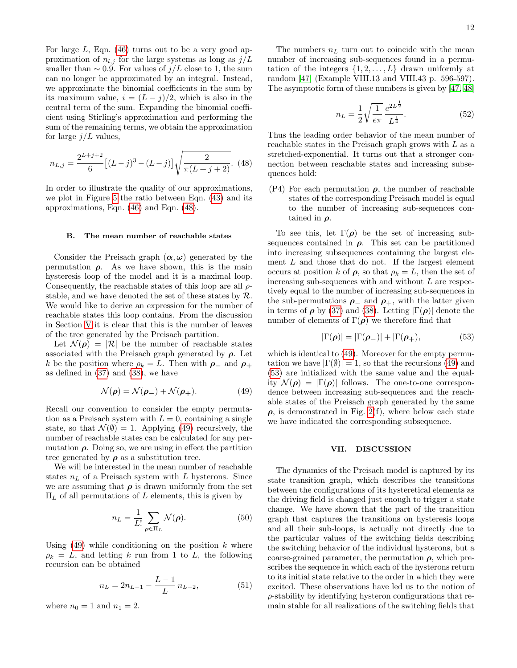For large  $L$ , Eqn. [\(46\)](#page-10-3) turns out to be a very good approximation of  $n_{l,j}$  for the large systems as long as  $j/L$ smaller than  $\sim 0.9$ . For values of  $j/L$  close to 1, the sum can no longer be approximated by an integral. Instead, we approximate the binomial coefficients in the sum by its maximum value,  $i = (L - j)/2$ , which is also in the central term of the sum. Expanding the binomial coefficient using Stirling's approximation and performing the sum of the remaining terms, we obtain the approximation for large  $j/L$  values,

<span id="page-11-1"></span>
$$
n_{L,j} = \frac{2^{L+j+2}}{6} \left[ (L-j)^3 - (L-j) \right] \sqrt{\frac{2}{\pi (L+j+2)}}. \tag{48}
$$

In order to illustrate the quality of our approximations, we plot in Figure [5](#page-10-4) the ratio between Eqn. [\(43\)](#page-10-2) and its approximations, Eqn. [\(46\)](#page-10-3) and Eqn. [\(48\)](#page-11-1).

#### B. The mean number of reachable states

Consider the Preisach graph  $(\alpha, \omega)$  generated by the permutation  $\rho$ . As we have shown, this is the main hysteresis loop of the model and it is a maximal loop. Consequently, the reachable states of this loop are all  $\rho$ stable, and we have denoted the set of these states by  $\mathcal{R}$ . We would like to derive an expression for the number of reachable states this loop contains. From the discussion in Section [V](#page-7-0) it is clear that this is the number of leaves of the tree generated by the Preisach partition.

Let  $\mathcal{N}(\rho) = |\mathcal{R}|$  be the number of reachable states associated with the Preisach graph generated by  $\rho$ . Let k be the position where  $\rho_k = L$ . Then with  $\rho_-$  and  $\rho_+$ as defined in [\(37\)](#page-8-1) and [\(38\)](#page-8-2), we have

<span id="page-11-2"></span>
$$
\mathcal{N}(\boldsymbol{\rho}) = \mathcal{N}(\boldsymbol{\rho}_-) + \mathcal{N}(\boldsymbol{\rho}_+). \tag{49}
$$

Recall our convention to consider the empty permutation as a Preisach system with  $L = 0$ , containing a single state, so that  $\mathcal{N}(\emptyset) = 1$ . Applying [\(49\)](#page-11-2) recursively, the number of reachable states can be calculated for any permutation  $\rho$ . Doing so, we are using in effect the partition tree generated by  $\rho$  as a substitution tree.

We will be interested in the mean number of reachable states  $n<sub>L</sub>$  of a Preisach system with L hysterons. Since we are assuming that  $\rho$  is drawn uniformly from the set  $\Pi_L$  of all permutations of L elements, this is given by

$$
n_L = \frac{1}{L!} \sum_{\boldsymbol{\rho} \in \Pi_L} \mathcal{N}(\boldsymbol{\rho}).
$$
\n(50)

Using  $(49)$  while conditioning on the position k where  $\rho_k = L$ , and letting k run from 1 to L, the following recursion can be obtained

$$
n_L = 2n_{L-1} - \frac{L-1}{L} n_{L-2},
$$
\n(51)

where  $n_0 = 1$  and  $n_1 = 2$ .

The numbers  $n<sub>L</sub>$  turn out to coincide with the mean number of increasing sub-sequences found in a permutation of the integers  $\{1, 2, \ldots, L\}$  drawn uniformly at random [\[47\]](#page-13-16) (Example VIII.13 and VIII.43 p. 596-597). The asymptotic form of these numbers is given by [\[47,](#page-13-16) [48\]](#page-13-17)

$$
n_L = \frac{1}{2} \sqrt{\frac{1}{e\pi}} \frac{e^{2L\frac{1}{2}}}{L^{\frac{1}{4}}}.
$$
\n(52)

Thus the leading order behavior of the mean number of reachable states in the Preisach graph grows with L as a stretched-exponential. It turns out that a stronger connection between reachable states and increasing subsequences hold:

(P4) For each permutation  $\rho$ , the number of reachable states of the corresponding Preisach model is equal to the number of increasing sub-sequences contained in  $\rho$ .

To see this, let  $\Gamma(\rho)$  be the set of increasing subsequences contained in  $\rho$ . This set can be partitioned into increasing subsequences containing the largest element  $L$  and those that do not. If the largest element occurs at position k of  $\rho$ , so that  $\rho_k = L$ , then the set of increasing sub-sequences with and without L are respectively equal to the number of increasing sub-sequences in the sub-permutations  $\rho_-\$  and  $\rho_+$ , with the latter given in terms of  $\rho$  by [\(37\)](#page-8-1) and [\(38\)](#page-8-2). Letting  $|\Gamma(\rho)|$  denote the number of elements of  $\Gamma(\rho)$  we therefore find that

<span id="page-11-3"></span>
$$
|\Gamma(\boldsymbol{\rho})| = |\Gamma(\boldsymbol{\rho}_-)| + |\Gamma(\boldsymbol{\rho}_+), \tag{53}
$$

which is identical to  $(49)$ . Moreover for the empty permutation we have  $|\Gamma(\emptyset)| = 1$ , so that the recursions [\(49\)](#page-11-2) and [\(53\)](#page-11-3) are initialized with the same value and the equality  $\mathcal{N}(\rho) = |\Gamma(\rho)|$  follows. The one-to-one correspondence between increasing sub-sequences and the reachable states of the Preisach graph generated by the same  $\rho$ , is demonstrated in Fig. [2\(](#page-4-1)f), where below each state we have indicated the corresponding subsequence.

### <span id="page-11-0"></span>VII. DISCUSSION

The dynamics of the Preisach model is captured by its state transition graph, which describes the transitions between the configurations of its hysteretical elements as the driving field is changed just enough to trigger a state change. We have shown that the part of the transition graph that captures the transitions on hysteresis loops and all their sub-loops, is actually not directly due to the particular values of the switching fields describing the switching behavior of the individual hysterons, but a coarse-grained parameter, the permutation  $\rho$ , which prescribes the sequence in which each of the hysterons return to its initial state relative to the order in which they were excited. These observations have led us to the notion of  $\rho$ -stability by identifying hysteron configurations that remain stable for all realizations of the switching fields that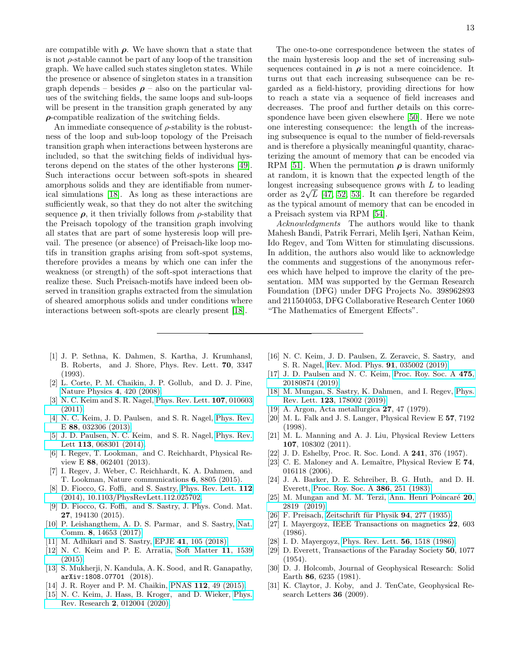are compatible with  $\rho$ . We have shown that a state that is not  $\rho$ -stable cannot be part of any loop of the transition graph. We have called such states singleton states. While the presence or absence of singleton states in a transition graph depends – besides  $\rho$  – also on the particular values of the switching fields, the same loops and sub-loops will be present in the transition graph generated by any  $\rho$ -compatible realization of the switching fields.

An immediate consequence of  $\rho$ -stability is the robustness of the loop and sub-loop topology of the Preisach transition graph when interactions between hysterons are included, so that the switching fields of individual hysterons depend on the states of the other hysterons [\[49\]](#page-13-18). Such interactions occur between soft-spots in sheared amorphous solids and they are identifiable from numerical simulations [\[18\]](#page-12-1). As long as these interactions are sufficiently weak, so that they do not alter the switching sequence  $\rho$ , it then trivially follows from  $\rho$ -stability that the Preisach topology of the transition graph involving all states that are part of some hysteresis loop will prevail. The presence (or absence) of Preisach-like loop motifs in transition graphs arising from soft-spot systems, therefore provides a means by which one can infer the weakness (or strength) of the soft-spot interactions that realize these. Such Preisach-motifs have indeed been observed in transition graphs extracted from the simulation of sheared amorphous solids and under conditions where interactions between soft-spots are clearly present [\[18\]](#page-12-1).

13

The one-to-one correspondence between the states of the main hysteresis loop and the set of increasing subsequences contained in  $\rho$  is not a mere coincidence. It turns out that each increasing subsequence can be regarded as a field-history, providing directions for how to reach a state via a sequence of field increases and decreases. The proof and further details on this correspondence have been given elsewhere [\[50\]](#page-13-19). Here we note one interesting consequence: the length of the increasing subsequence is equal to the number of field-reversals and is therefore a physically meaningful quantity, characterizing the amount of memory that can be encoded via RPM [\[51\]](#page-13-20). When the permutation  $\rho$  is drawn uniformly at random, it is known that the expected length of the longest increasing subsequence grows with  $L$  to leading order as  $2\sqrt{L}$  [\[47,](#page-13-16) [52,](#page-13-21) [53\]](#page-13-22). It can therefore be regarded as the typical amount of memory that can be encoded in a Preisach system via RPM [\[54\]](#page-13-23).

Acknowledgments The authors would like to thank Mahesh Bandi, Patrik Ferrari, Melih I¸seri, Nathan Keim, Ido Regev, and Tom Witten for stimulating discussions. In addition, the authors also would like to acknowledge the comments and suggestions of the anonymous referees which have helped to improve the clarity of the presentation. MM was supported by the German Research Foundation (DFG) under DFG Projects No. 398962893 and 211504053, DFG Collaborative Research Center 1060 "The Mathematics of Emergent Effects".

- <span id="page-12-0"></span>[1] J. P. Sethna, K. Dahmen, S. Kartha, J. Krumhansl, B. Roberts, and J. Shore, Phys. Rev. Lett. 70, 3347 (1993).
- [2] L. Corte, P. M. Chaikin, J. P. Gollub, and D. J. Pine, [Nature Physics](http://dx.doi.org/10.1038/nphys891) 4, 420 (2008).
- [3] N. C. Keim and S. R. Nagel, [Phys. Rev. Lett.](http://dx.doi.org/10.1103/PhysRevLett.107.010603) 107, 010603 [\(2011\).](http://dx.doi.org/10.1103/PhysRevLett.107.010603)
- [4] N. C. Keim, J. D. Paulsen, and S. R. Nagel, [Phys. Rev.](http://dx.doi.org/{10.1103/PhysRevE.88.032306}) E 88[, 032306 \(2013\).](http://dx.doi.org/{10.1103/PhysRevE.88.032306})
- [5] J. D. Paulsen, N. C. Keim, and S. R. Nagel, [Phys. Rev.](http://dx.doi.org/{10.1103/PhysRevLett.113.068301}) Lett 113[, 068301 \(2014\).](http://dx.doi.org/{10.1103/PhysRevLett.113.068301})
- <span id="page-12-9"></span>[6] I. Regev, T. Lookman, and C. Reichhardt, Physical Review E 88, 062401 (2013).
- [7] I. Regev, J. Weber, C. Reichhardt, K. A. Dahmen, and T. Lookman, Nature communications 6, 8805 (2015).
- [8] D. Fiocco, G. Foffi, and S. Sastry, [Phys. Rev. Lett.](http://dx.doi.org/10.1103/PhysRevLett.112.025702)  $112$ [\(2014\), 10.1103/PhysRevLett.112.025702.](http://dx.doi.org/10.1103/PhysRevLett.112.025702)
- [9] D. Fiocco, G. Foffi, and S. Sastry, J. Phys. Cond. Mat. 27, 194130 (2015).
- [10] P. Leishangthem, A. D. S. Parmar, and S. Sastry, [Nat.](http://dx.doi.org/10.1038/ncomms14653) Comm. 8[, 14653 \(2017\).](http://dx.doi.org/10.1038/ncomms14653)
- <span id="page-12-10"></span>[11] M. Adhikari and S. Sastry, EPJE 41[, 105 \(2018\).](http://dx.doi.org/10.1140/epje/i2018-11717-5)
- [12] N. C. Keim and P. E. Arratia, [Soft Matter](http://dx.doi.org/10.1039/c4sm02446j) 11, 1539 [\(2015\).](http://dx.doi.org/10.1039/c4sm02446j)
- [13] S. Mukherji, N. Kandula, A. K. Sood, and R. Ganapathy, arXiv:1808.07701 (2018).
- [14] J. R. Royer and P. M. Chaikin, PNAS **112**[, 49 \(2015\).](http://dx.doi.org/10.1073/pnas.1413468112)
- <span id="page-12-15"></span>[15] N. C. Keim, J. Hass, B. Kroger, and D. Wieker, [Phys.](http://dx.doi.org/ 10.1103/PhysRevResearch.2.012004) Rev. Research 2[, 012004 \(2020\).](http://dx.doi.org/ 10.1103/PhysRevResearch.2.012004)
- <span id="page-12-6"></span>[16] N. C. Keim, J. D. Paulsen, Z. Zeravcic, S. Sastry, and S. R. Nagel, [Rev. Mod. Phys.](http://dx.doi.org/ 10.1103/RevModPhys.91.035002) 91, 035002 (2019).
- <span id="page-12-16"></span>[17] J. D. Paulsen and N. C. Keim, [Proc. Roy. Soc. A](http://dx.doi.org/10.1098/rspa.2018.0874) 475, [20180874 \(2019\).](http://dx.doi.org/10.1098/rspa.2018.0874)
- <span id="page-12-1"></span>[18] M. Mungan, S. Sastry, K. Dahmen, and I. Regev, [Phys.](http://dx.doi.org/ 10.1103/PhysRevLett.123.178002) Rev. Lett. 123[, 178002 \(2019\).](http://dx.doi.org/ 10.1103/PhysRevLett.123.178002)
- <span id="page-12-2"></span>[19] A. Argon, Acta metallurgica 27, 47 (1979).
- [20] M. L. Falk and J. S. Langer, Physical Review E 57, 7192 (1998).
- <span id="page-12-3"></span>[21] M. L. Manning and A. J. Liu, Physical Review Letters 107, 108302 (2011).
- <span id="page-12-4"></span>[22] J. D. Eshelby, Proc. R. Soc. Lond. A 241, 376 (1957).
- <span id="page-12-5"></span>[23] C. E. Maloney and A. Lemaître, Physical Review E 74, 016118 (2006).
- <span id="page-12-7"></span>[24] J. A. Barker, D. E. Schreiber, B. G. Huth, and D. H. Everett, [Proc. Roy. Soc. A](http://dx.doi.org/10.1098/rspa.1983.0035) 386, 251 (1983).
- <span id="page-12-8"></span>[25] M. Mungan and M. M. Terzi, Ann. Henri Poincaré 20, [2819 \(2019\).](http://dx.doi.org/10.1007/s00023-019-00807-1)
- <span id="page-12-11"></span>[26] F. Preisach, Zeitschrift für Physik 94, 277 (1935).
- [27] I. Mayergoyz, IEEE Transactions on magnetics 22, 603 (1986).
- <span id="page-12-12"></span>[28] I. D. Mayergoyz, [Phys. Rev. Lett.](http://dx.doi.org/10.1103/PhysRevLett.56.1518) 56, 1518 (1986).
- <span id="page-12-13"></span>[29] D. Everett, Transactions of the Faraday Society 50, 1077  $(1954)$ .
- <span id="page-12-14"></span>[30] D. J. Holcomb, Journal of Geophysical Research: Solid Earth 86, 6235 (1981).
- [31] K. Claytor, J. Koby, and J. TenCate, Geophysical Research Letters 36 (2009).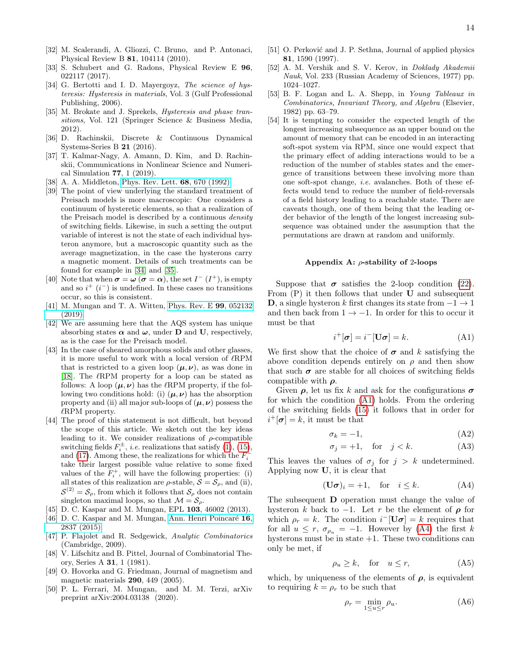- <span id="page-13-0"></span>[32] M. Scalerandi, A. Gliozzi, C. Bruno, and P. Antonaci, Physical Review B 81, 104114 (2010).
- <span id="page-13-1"></span>[33] S. Schubert and G. Radons, Physical Review E 96, 022117 (2017).
- <span id="page-13-2"></span>[34] G. Bertotti and I. D. Mayergoyz, The science of hysteresis: Hysteresis in materials, Vol. 3 (Gulf Professional Publishing, 2006).
- <span id="page-13-3"></span>[35] M. Brokate and J. Sprekels, *Hysteresis and phase tran*sitions, Vol. 121 (Springer Science & Business Media, 2012).
- <span id="page-13-4"></span>[36] D. Rachinskii, Discrete & Continuous Dynamical Systems-Series B 21 (2016).
- <span id="page-13-5"></span>[37] T. Kalmar-Nagy, A. Amann, D. Kim, and D. Rachinskii, Communications in Nonlinear Science and Numerical Simulation 77, 1 (2019).
- <span id="page-13-7"></span>[38] A. A. Middleton, [Phys. Rev. Lett.](http://dx.doi.org/10.1103/PhysRevLett.68.670) **68**, 670 (1992).
- <span id="page-13-8"></span>[39] The point of view underlying the standard treatment of Preisach models is more macroscopic: One considers a continuum of hysteretic elements, so that a realization of the Preisach model is described by a continuous density of switching fields. Likewise, in such a setting the output variable of interest is not the state of each individual hysteron anymore, but a macroscopic quantity such as the average magnetization, in the case the hysterons carry a magnetic moment. Details of such treatments can be found for example in [\[34\]](#page-13-2) and [\[35\]](#page-13-3).
- <span id="page-13-9"></span>[40] Note that when  $\sigma = \omega \ (\sigma = \alpha)$ , the set  $I^{-}(I^{+})$ , is empty and so  $i^+(i^-)$  is undefined. In these cases no transitions occur, so this is consistent.
- <span id="page-13-10"></span>[41] M. Mungan and T. A. Witten, [Phys. Rev. E](http://dx.doi.org/10.1103/PhysRevE.99.052132) 99, 052132  $(2019)$ .
- <span id="page-13-11"></span>[42] We are assuming here that the AQS system has unique absorbing states  $\alpha$  and  $\omega$ , under **D** and **U**, respectively, as is the case for the Preisach model.
- <span id="page-13-12"></span>[43] In the case of sheared amorphous solids and other glasses, it is more useful to work with a local version of  $\ell$ RPM that is restricted to a given loop  $(\mu, \nu)$ , as was done in [\[18\]](#page-12-1). The  $\ell$ RPM property for a loop can be stated as follows: A loop  $(\mu, \nu)$  has the  $\ell$ RPM property, if the following two conditions hold: (i)  $(\mu, \nu)$  has the absorption property and (ii) all major sub-loops of  $(\mu, \nu)$  possess the  $\ell$ RPM property.
- <span id="page-13-13"></span>[44] The proof of this statement is not difficult, but beyond the scope of this article. We sketch out the key ideas leading to it. We consider realizations of  $\rho$ -compatible switching fields  $F_i^{\pm}$ , *i.e.* realizations that satisfy [\(1\)](#page-1-3), [\(15\)](#page-3-6), and [\(17\)](#page-3-4). Among these, the realizations for which the  $F_i^$ take their largest possible value relative to some fixed values of the  $\overline{F}_i^+$ , will have the following properties: (i) all states of this realization are  $\rho$ -stable,  $S = S_\rho$ , and (ii),  $S^{(2)} = S_{\rho}$ , from which it follows that  $S_{\rho}$  does not contain singleton maximal loops, so that  $\mathcal{M} = \mathcal{S}_{\rho}$ .
- <span id="page-13-14"></span>[45] D. C. Kaspar and M. Mungan, EPL 103, 46002 (2013).
- <span id="page-13-15"></span>[46] D. C. Kaspar and M. Mungan, Ann. Henri Poincaré 16, [2837 \(2015\).](http://dx.doi.org/10.1007/s00023-014-0387-4)
- <span id="page-13-16"></span>[47] P. Flajolet and R. Sedgewick, Analytic Combinatorics (Cambridge, 2009).
- <span id="page-13-17"></span>[48] V. Lifschitz and B. Pittel, Journal of Combinatorial Theory, Series A 31, 1 (1981).
- <span id="page-13-18"></span>[49] O. Hovorka and G. Friedman, Journal of magnetism and magnetic materials 290, 449 (2005).
- <span id="page-13-19"></span>[50] P. L. Ferrari, M. Mungan, and M. M. Terzi, arXiv preprint arXiv:2004.03138 (2020).
- <span id="page-13-20"></span>[51] O. Perković and J. P. Sethna, Journal of applied physics 81, 1590 (1997).
- <span id="page-13-21"></span>[52] A. M. Vershik and S. V. Kerov, in Doklady Akademii Nauk, Vol. 233 (Russian Academy of Sciences, 1977) pp. 1024–1027.
- <span id="page-13-22"></span>[53] B. F. Logan and L. A. Shepp, in Young Tableaux in Combinatorics, Invariant Theory, and Algebra (Elsevier, 1982) pp. 63–79.
- <span id="page-13-23"></span>[54] It is tempting to consider the expected length of the longest increasing subsequence as an upper bound on the amount of memory that can be encoded in an interacting soft-spot system via RPM, since one would expect that the primary effect of adding interactions would to be a reduction of the number of stables states and the emergence of transitions between these involving more than one soft-spot change, i.e. avalanches. Both of these effects would tend to reduce the number of field-reversals of a field history leading to a reachable state. There are caveats though, one of them being that the leading order behavior of the length of the longest increasing subsequence was obtained under the assumption that the permutations are drawn at random and uniformly.

#### <span id="page-13-6"></span>Appendix A:  $\rho$ -stability of 2-loops

Suppose that  $\sigma$  satisfies the 2-loop condition [\(22\)](#page-3-2). From  $(P)$  it then follows that under **U** and subsequent D, a single hysteron k first changes its state from  $-1 \rightarrow 1$ and then back from  $1 \rightarrow -1$ . In order for this to occur it must be that

<span id="page-13-24"></span>
$$
i^+[\sigma] = i^-[\mathbf{U}\sigma] = k. \tag{A1}
$$

We first show that the choice of  $\sigma$  and k satisfying the above condition depends entirely on  $\rho$  and then show that such  $\sigma$  are stable for all choices of switching fields compatible with  $\rho$ .

Given  $\rho$ , let us fix k and ask for the configurations  $\sigma$ for which the condition [\(A1\)](#page-13-24) holds. From the ordering of the switching fields [\(15\)](#page-3-6) it follows that in order for  $i^+[\sigma] = k$ , it must be that

$$
\sigma_k = -1,\tag{A2}
$$

$$
\sigma_j = +1, \quad \text{for} \quad j < k. \tag{A3}
$$

This leaves the values of  $\sigma_j$  for  $j > k$  undetermined. Applying now U, it is clear that

<span id="page-13-25"></span>
$$
(\mathbf{U}\boldsymbol{\sigma})_i = +1, \quad \text{for} \quad i \le k. \tag{A4}
$$

The subsequent D operation must change the value of hysteron k back to  $-1$ . Let r be the element of  $\rho$  for which  $\rho_r = k$ . The condition  $i^-[\mathbf{U}\boldsymbol{\sigma}] = k$  requires that for all  $u \leq r$ ,  $\sigma_{\rho_u} = -1$ . However by [\(A4\)](#page-13-25) the first k hysterons must be in state  $+1$ . These two conditions can only be met, if

$$
\rho_u \ge k, \quad \text{for} \quad u \le r,\tag{A5}
$$

which, by uniqueness of the elements of  $\rho$ , is equivalent to requiring  $k = \rho_r$  to be such that

$$
\rho_r = \min_{1 \le u \le r} \rho_u. \tag{A6}
$$